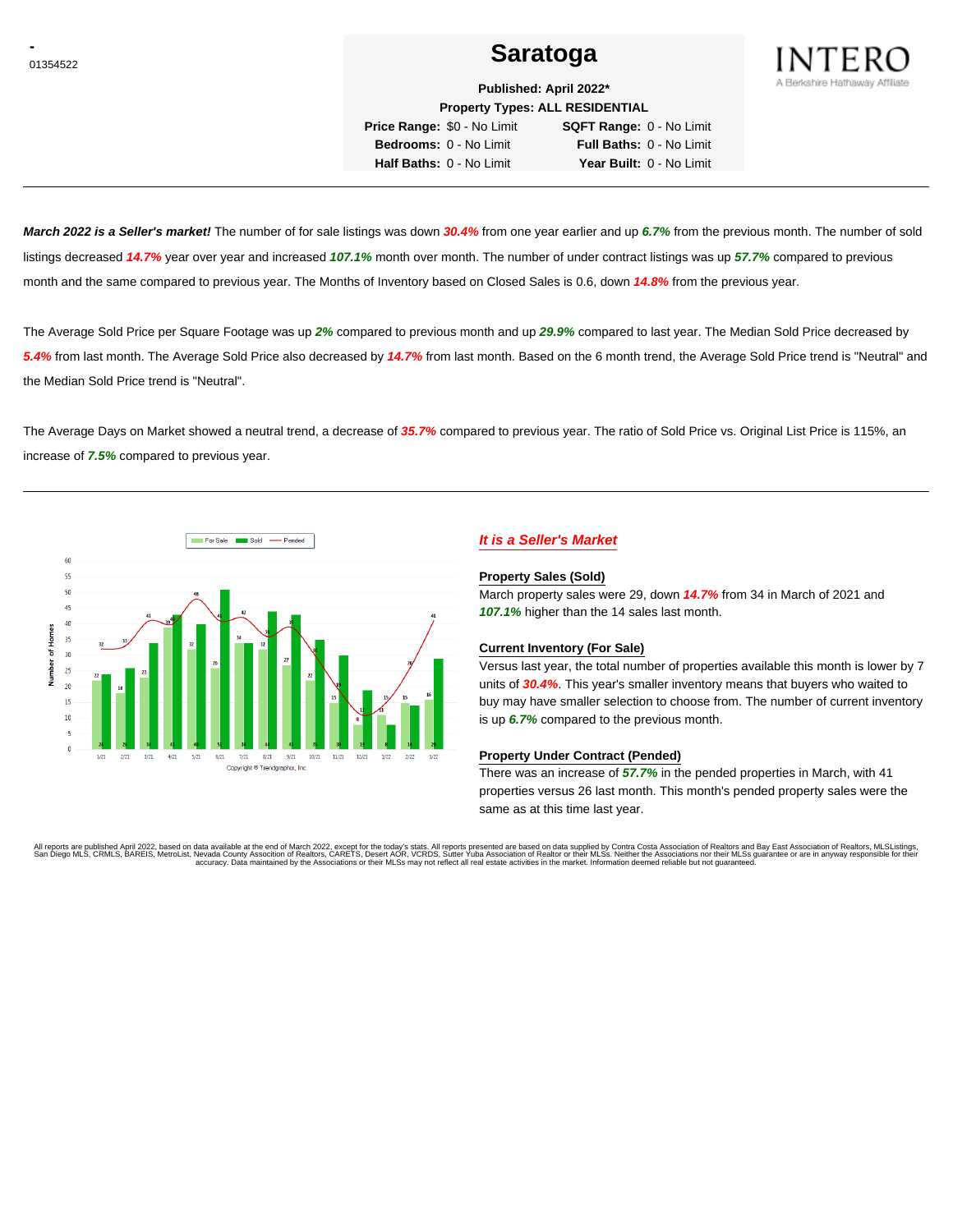## <u>01354522</u> and the set of the set of the set of the set of the Saratoga set of the set of the set of the set of the set of the set of the set of the set of the set of the set of the set of the set of the set of the set of



**Published: April 2022\* Property Types: ALL RESIDENTIAL**

**Price Range:** \$0 - No Limit **SQFT Range:** 0 - No Limit **Bedrooms:** 0 - No Limit **Full Baths:** 0 - No Limit **Half Baths:** 0 - No Limit **Year Built:** 0 - No Limit

**March 2022 is a Seller's market!** The number of for sale listings was down **30.4%** from one year earlier and up **6.7%** from the previous month. The number of sold listings decreased **14.7%** year over year and increased **107.1%** month over month. The number of under contract listings was up **57.7%** compared to previous month and the same compared to previous year. The Months of Inventory based on Closed Sales is 0.6, down **14.8%** from the previous year.

The Average Sold Price per Square Footage was up **2%** compared to previous month and up **29.9%** compared to last year. The Median Sold Price decreased by **5.4%** from last month. The Average Sold Price also decreased by **14.7%** from last month. Based on the 6 month trend, the Average Sold Price trend is "Neutral" and the Median Sold Price trend is "Neutral".

The Average Days on Market showed a neutral trend, a decrease of **35.7%** compared to previous year. The ratio of Sold Price vs. Original List Price is 115%, an increase of **7.5%** compared to previous year.



### **It is a Seller's Market**

### **Property Sales (Sold)**

March property sales were 29, down **14.7%** from 34 in March of 2021 and **107.1%** higher than the 14 sales last month.

### **Current Inventory (For Sale)**

Versus last year, the total number of properties available this month is lower by 7 units of **30.4%**. This year's smaller inventory means that buyers who waited to buy may have smaller selection to choose from. The number of current inventory is up **6.7%** compared to the previous month.

### **Property Under Contract (Pended)**

There was an increase of **57.7%** in the pended properties in March, with 41 properties versus 26 last month. This month's pended property sales were the same as at this time last year.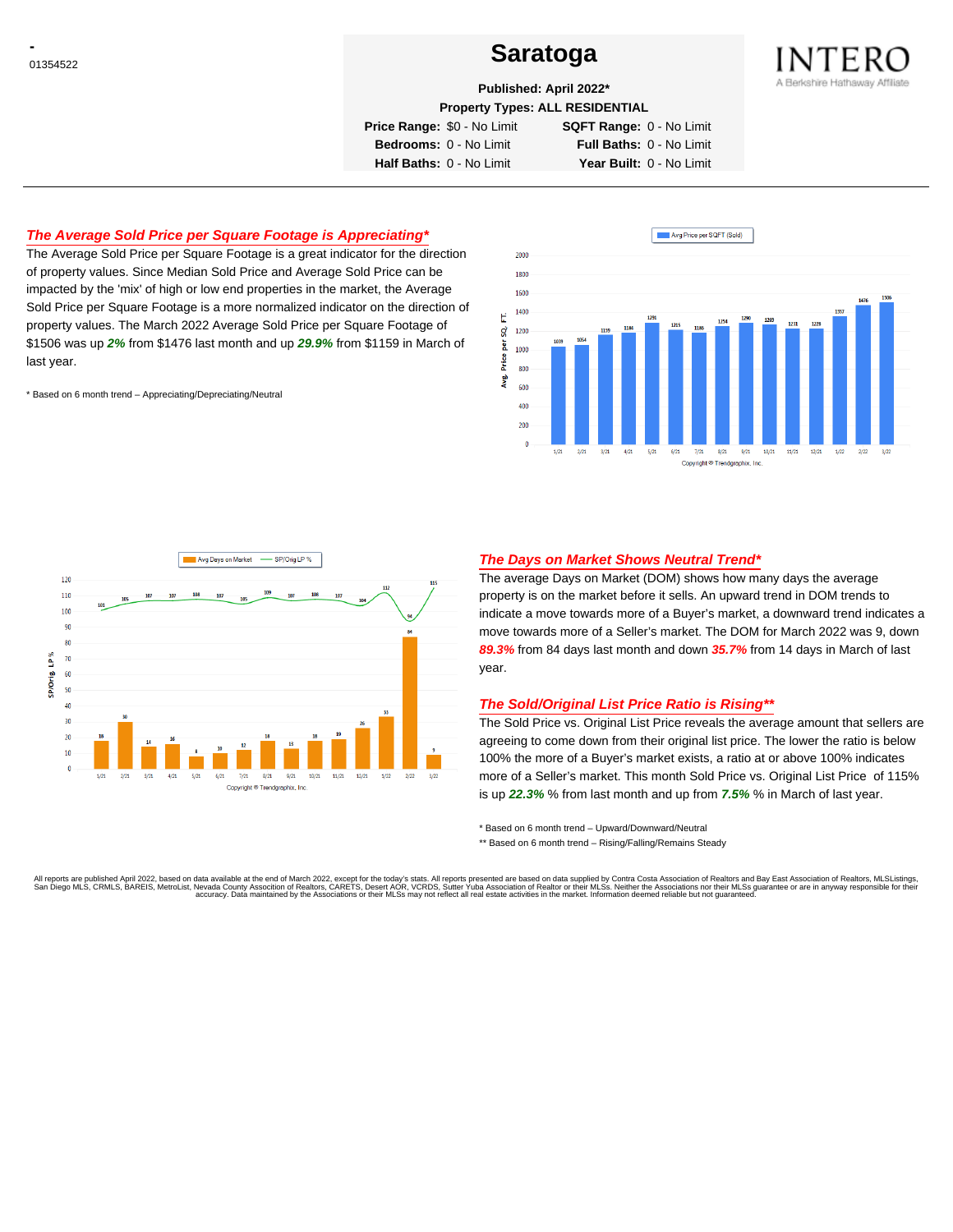## <sup>01354522</sup> **Saratoga**



**Published: April 2022\***

**Property Types: ALL RESIDENTIAL**

**Price Range:** \$0 - No Limit **SQFT Range:** 0 - No Limit

**Bedrooms:** 0 - No Limit **Full Baths:** 0 - No Limit

**Half Baths:** 0 - No Limit **Year Built:** 0 - No Limit

### **The Average Sold Price per Square Footage is Appreciating\***

The Average Sold Price per Square Footage is a great indicator for the direction of property values. Since Median Sold Price and Average Sold Price can be impacted by the 'mix' of high or low end properties in the market, the Average Sold Price per Square Footage is a more normalized indicator on the direction of property values. The March 2022 Average Sold Price per Square Footage of \$1506 was up **2%** from \$1476 last month and up **29.9%** from \$1159 in March of last year.

\* Based on 6 month trend – Appreciating/Depreciating/Neutral





### **The Days on Market Shows Neutral Trend\***

The average Days on Market (DOM) shows how many days the average property is on the market before it sells. An upward trend in DOM trends to indicate a move towards more of a Buyer's market, a downward trend indicates a move towards more of a Seller's market. The DOM for March 2022 was 9, down **89.3%** from 84 days last month and down **35.7%** from 14 days in March of last year.

### **The Sold/Original List Price Ratio is Rising\*\***

The Sold Price vs. Original List Price reveals the average amount that sellers are agreeing to come down from their original list price. The lower the ratio is below 100% the more of a Buyer's market exists, a ratio at or above 100% indicates more of a Seller's market. This month Sold Price vs. Original List Price of 115% is up **22.3%** % from last month and up from **7.5%** % in March of last year.

\* Based on 6 month trend – Upward/Downward/Neutral

\*\* Based on 6 month trend - Rising/Falling/Remains Steady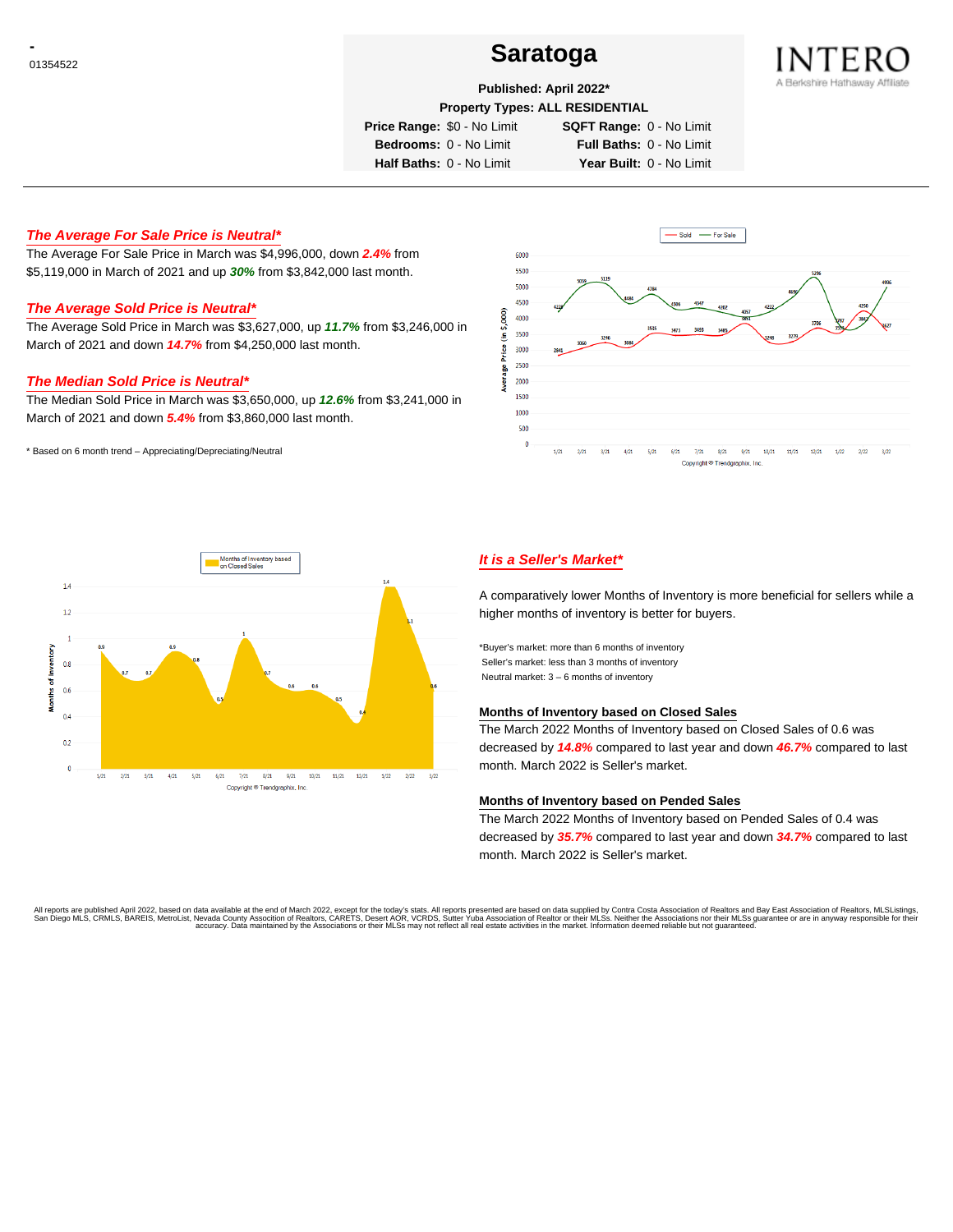## <sup>01354522</sup> **Saratoga**



### **Published: April 2022\***

**Property Types: ALL RESIDENTIAL**

**Price Range:** \$0 - No Limit **SQFT Range:** 0 - No Limit

**Bedrooms:** 0 - No Limit **Full Baths:** 0 - No Limit

**Half Baths:** 0 - No Limit **Year Built:** 0 - No Limit

**The Average For Sale Price is Neutral\***

The Average For Sale Price in March was \$4,996,000, down **2.4%** from \$5,119,000 in March of 2021 and up **30%** from \$3,842,000 last month.

### **The Average Sold Price is Neutral\***

The Average Sold Price in March was \$3,627,000, up **11.7%** from \$3,246,000 in March of 2021 and down **14.7%** from \$4,250,000 last month.

### **The Median Sold Price is Neutral\***

The Median Sold Price in March was \$3,650,000, up **12.6%** from \$3,241,000 in March of 2021 and down **5.4%** from \$3,860,000 last month.

\* Based on 6 month trend – Appreciating/Depreciating/Neutral





### **It is a Seller's Market\***

A comparatively lower Months of Inventory is more beneficial for sellers while a higher months of inventory is better for buyers.

\*Buyer's market: more than 6 months of inventory Seller's market: less than 3 months of inventory Neutral market: 3 – 6 months of inventory

### **Months of Inventory based on Closed Sales**

The March 2022 Months of Inventory based on Closed Sales of 0.6 was decreased by **14.8%** compared to last year and down **46.7%** compared to last month. March 2022 is Seller's market.

### **Months of Inventory based on Pended Sales**

The March 2022 Months of Inventory based on Pended Sales of 0.4 was decreased by **35.7%** compared to last year and down **34.7%** compared to last month. March 2022 is Seller's market.